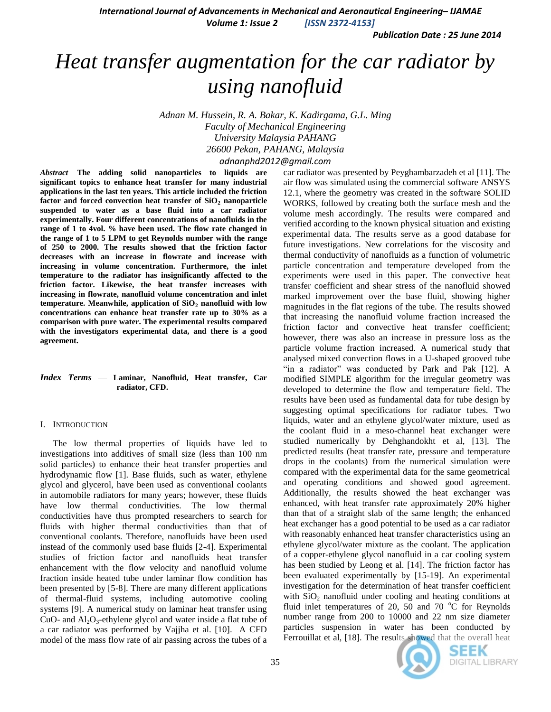*International Journal of Advancements in Mechanical and Aeronautical Engineering***–** *IJAMAE*

*Volume 1: Issue 2 [ISSN 2372-4153]*

*Publication Date : 25 June 2014*

# *Heat transfer augmentation for the car radiator by using nanofluid*

*Adnan M. Hussein, R. A. Bakar, K. Kadirgama, G.L. Ming Faculty of Mechanical Engineering University Malaysia PAHANG 26600 Pekan, PAHANG, Malaysia [adnanphd2012@gmail.com](mailto:adnanphd2012@gmail.com)*

*Abstract*—**The adding solid nanoparticles to liquids are significant topics to enhance heat transfer for many industrial applications in the last ten years. This article included the friction factor and forced convection heat transfer of SiO<sup>2</sup> nanoparticle suspended to water as a base fluid into a car radiator experimentally. Four different concentrations of nanofluids in the range of 1 to 4vol. % have been used. The flow rate changed in the range of 1 to 5 LPM to get Reynolds number with the range of 250 to 2000. The results showed that the friction factor decreases with an increase in flowrate and increase with increasing in volume concentration. Furthermore, the inlet temperature to the radiator has insignificantly affected to the friction factor. Likewise, the heat transfer increases with increasing in flowrate, nanofluid volume concentration and inlet temperature. Meanwhile, application of SiO<sup>2</sup> nanofluid with low concentrations can enhance heat transfer rate up to 30% as a comparison with pure water. The experimental results compared with the investigators experimental data, and there is a good agreement.**

## *Index Terms* — **Laminar, Nanofluid, Heat transfer, Car radiator, CFD.**

## I. INTRODUCTION

The low thermal properties of liquids have led to investigations into additives of small size (less than 100 nm solid particles) to enhance their heat transfer properties and hydrodynamic flow [1]. Base fluids, such as water, ethylene glycol and glycerol, have been used as conventional coolants in automobile radiators for many years; however, these fluids have low thermal conductivities. The low thermal conductivities have thus prompted researchers to search for fluids with higher thermal conductivities than that of conventional coolants. Therefore, nanofluids have been used instead of the commonly used base fluids [2-4]. Experimental studies of friction factor and nanofluids heat transfer enhancement with the flow velocity and nanofluid volume fraction inside heated tube under laminar flow condition has been presented by [5-8]. There are many different applications of thermal-fluid systems, including automotive cooling systems [9]. A numerical study on laminar heat transfer using CuO- and  $Al_2O_3$ -ethylene glycol and water inside a flat tube of a car radiator was performed by Vajjha et al. [10]. A CFD model of the mass flow rate of air passing across the tubes of a car radiator was presented by Peyghambarzadeh et al [11]. The air flow was simulated using the commercial software ANSYS 12.1, where the geometry was created in the software SOLID WORKS, followed by creating both the surface mesh and the volume mesh accordingly. The results were compared and verified according to the known physical situation and existing experimental data. The results serve as a good database for future investigations. New correlations for the viscosity and thermal conductivity of nanofluids as a function of volumetric particle concentration and temperature developed from the experiments were used in this paper. The convective heat transfer coefficient and shear stress of the nanofluid showed marked improvement over the base fluid, showing higher magnitudes in the flat regions of the tube. The results showed that increasing the nanofluid volume fraction increased the friction factor and convective heat transfer coefficient; however, there was also an increase in pressure loss as the particle volume fraction increased. A numerical study that analysed mixed convection flows in a U-shaped grooved tube "in a radiator" was conducted by Park and Pak [12]. A modified SIMPLE algorithm for the irregular geometry was developed to determine the flow and temperature field. The results have been used as fundamental data for tube design by suggesting optimal specifications for radiator tubes. Two liquids, water and an ethylene glycol/water mixture, used as the coolant fluid in a meso-channel heat exchanger were studied numerically by Dehghandokht et al, [13]. The predicted results (heat transfer rate, pressure and temperature drops in the coolants) from the numerical simulation were compared with the experimental data for the same geometrical and operating conditions and showed good agreement. Additionally, the results showed the heat exchanger was enhanced, with heat transfer rate approximately 20% higher than that of a straight slab of the same length; the enhanced heat exchanger has a good potential to be used as a car radiator with reasonably enhanced heat transfer characteristics using an ethylene glycol/water mixture as the coolant. The application of a copper-ethylene glycol nanofluid in a car cooling system has been studied by Leong et al. [14]. The friction factor has been evaluated experimentally by [15-19]. An experimental investigation for the determination of heat transfer coefficient with  $SiO<sub>2</sub>$  nanofluid under cooling and heating conditions at fluid inlet temperatures of 20, 50 and 70  $^{\circ}$ C for Reynolds number range from 200 to 10000 and 22 nm size diameter particles suspension in water has been conducted by Ferrouillat et al, [18]. The results showed that the overall heat

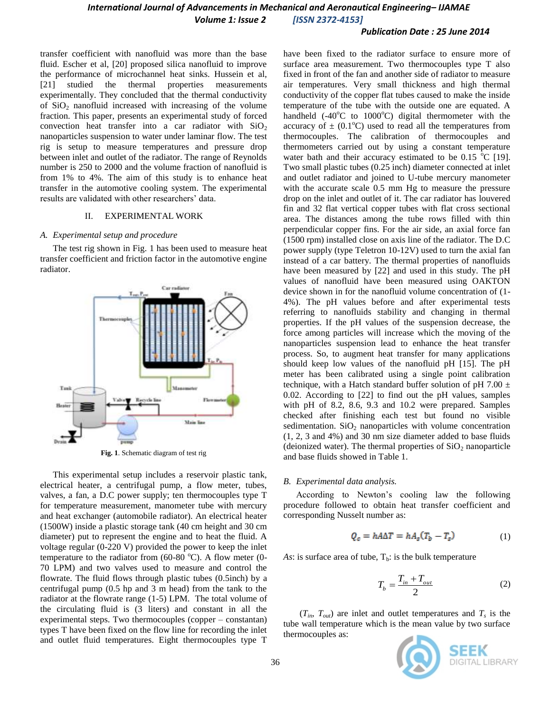## *Publication Date : 25 June 2014*

transfer coefficient with nanofluid was more than the base fluid. Escher et al, [20] proposed silica nanofluid to improve the performance of microchannel heat sinks. Hussein et al, [21] studied the thermal properties measurements experimentally. They concluded that the thermal conductivity of  $SiO<sub>2</sub>$  nanofluid increased with increasing of the volume fraction. This paper, presents an experimental study of forced convection heat transfer into a car radiator with  $SiO<sub>2</sub>$ nanoparticles suspension to water under laminar flow. The test rig is setup to measure temperatures and pressure drop between inlet and outlet of the radiator. The range of Reynolds number is 250 to 2000 and the volume fraction of nanofluid is from 1% to 4%. The aim of this study is to enhance heat transfer in the automotive cooling system. The experimental results are validated with other researchers' data.

## II. EXPERIMENTAL WORK

## *A. Experimental setup and procedure*

The test rig shown in Fig. 1 has been used to measure heat transfer coefficient and friction factor in the automotive engine radiator.



**Fig. 1**. Schematic diagram of test rig

This experimental setup includes a reservoir plastic tank, electrical heater, a centrifugal pump, a flow meter, tubes, valves, a fan, a D.C power supply; ten thermocouples type T for temperature measurement, manometer tube with mercury and heat exchanger (automobile radiator). An electrical heater (1500W) inside a plastic storage tank (40 cm height and 30 cm diameter) put to represent the engine and to heat the fluid. A voltage regular (0-220 V) provided the power to keep the inlet temperature to the radiator from  $(60-80 \degree C)$ . A flow meter  $(0-$ 70 LPM) and two valves used to measure and control the flowrate. The fluid flows through plastic tubes (0.5inch) by a centrifugal pump (0.5 hp and 3 m head) from the tank to the radiator at the flowrate range (1-5) LPM. The total volume of the circulating fluid is (3 liters) and constant in all the experimental steps. Two thermocouples (copper – constantan) types T have been fixed on the flow line for recording the inlet and outlet fluid temperatures. Eight thermocouples type T

have been fixed to the radiator surface to ensure more of surface area measurement. Two thermocouples type T also fixed in front of the fan and another side of radiator to measure air temperatures. Very small thickness and high thermal conductivity of the copper flat tubes caused to make the inside temperature of the tube with the outside one are equated. A handheld (-40°C to 1000°C) digital thermometer with the accuracy of  $\pm$  (0.1<sup>o</sup>C) used to read all the temperatures from thermocouples. The calibration of thermocouples and thermometers carried out by using a constant temperature water bath and their accuracy estimated to be  $0.15 \text{ °C}$  [19]. Two small plastic tubes (0.25 inch) diameter connected at inlet and outlet radiator and joined to U-tube mercury manometer with the accurate scale 0.5 mm Hg to measure the pressure drop on the inlet and outlet of it. The car radiator has louvered fin and 32 flat vertical copper tubes with flat cross sectional area. The distances among the tube rows filled with thin perpendicular copper fins. For the air side, an axial force fan (1500 rpm) installed close on axis line of the radiator. The D.C power supply (type Teletron 10-12V) used to turn the axial fan instead of a car battery. The thermal properties of nanofluids have been measured by [22] and used in this study. The pH values of nanofluid have been measured using OAKTON device shown in for the nanofluid volume concentration of (1- 4%). The pH values before and after experimental tests referring to nanofluids stability and changing in thermal properties. If the pH values of the suspension decrease, the force among particles will increase which the moving of the nanoparticles suspension lead to enhance the heat transfer process. So, to augment heat transfer for many applications should keep low values of the nanofluid pH [15]. The pH meter has been calibrated using a single point calibration technique, with a Hatch standard buffer solution of pH 7.00  $\pm$ 0.02. According to [22] to find out the pH values, samples with pH of 8.2, 8.6, 9.3 and 10.2 were prepared. Samples checked after finishing each test but found no visible sedimentation.  $SiO<sub>2</sub>$  nanoparticles with volume concentration (1, 2, 3 and 4%) and 30 nm size diameter added to base fluids (deionized water). The thermal properties of  $SiO<sub>2</sub>$  nanoparticle and base fluids showed in Table 1.

## *B. Experimental data analysis.*

According to Newton's cooling law the following procedure followed to obtain heat transfer coefficient and corresponding Nusselt number as:

$$
Q_c = hA\Delta T = hA_s(T_b - T_s)
$$
 (1)

As: is surface area of tube,  $T_b$ : is the bulk temperature

$$
T_b = \frac{T_{in} + T_{out}}{2} \tag{2}
$$

 $(T_{in}, T_{out})$  are inlet and outlet temperatures and  $T_s$  is the tube wall temperature which is the mean value by two surface thermocouples as:

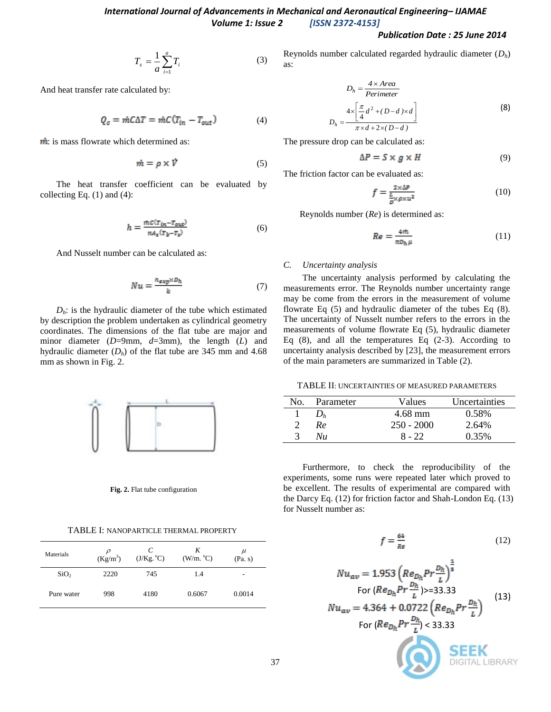*Publication Date : 25 June 2014*

$$
T_s = \frac{1}{a} \sum_{i=1}^{a} T_i
$$
 (3)

$$
Q_c = \dot{m} C \Delta T = \dot{m} C (T_{in} - T_{out})
$$
 (4)

$$
\dot{m} = \rho \times \dot{V} \tag{5}
$$

$$
h = \frac{mc(r_{in} - r_{out})}{n_{As}(r_b - r_s)}\tag{6}
$$

$$
Nu = \frac{h_{exp} \times D_h}{k} \tag{7}
$$



## **Fig. 2.** Flat tube configuration

TABLE I: NANOPARTICLE THERMAL PROPERTY

|                                                                                                                                                                                                                                                                                      |                      | $T_s = \frac{1}{a} \sum_{i=1}^{n} T_i$                    |                                                               | (3)              |  |
|--------------------------------------------------------------------------------------------------------------------------------------------------------------------------------------------------------------------------------------------------------------------------------------|----------------------|-----------------------------------------------------------|---------------------------------------------------------------|------------------|--|
| And heat transfer rate calculated by:                                                                                                                                                                                                                                                |                      |                                                           |                                                               |                  |  |
|                                                                                                                                                                                                                                                                                      |                      | $Q_c = \dot{m} C \Delta T = \dot{m} C (T_{in} - T_{out})$ |                                                               | (4)              |  |
| $\dot{m}$ : is mass flowrate which determined as:                                                                                                                                                                                                                                    |                      |                                                           |                                                               |                  |  |
|                                                                                                                                                                                                                                                                                      |                      | $\dot{m} = \rho \times \dot{V}$                           |                                                               | (5)              |  |
| collecting Eq. $(1)$ and $(4)$ :                                                                                                                                                                                                                                                     |                      |                                                           | The heat transfer coefficient can be evaluated                | by               |  |
|                                                                                                                                                                                                                                                                                      |                      | $h = \frac{mc(r_{in}-r_{out})}{nA_e(r_{in}-r_{e})}$       |                                                               | (6)              |  |
|                                                                                                                                                                                                                                                                                      |                      | And Nusselt number can be calculated as:                  |                                                               |                  |  |
|                                                                                                                                                                                                                                                                                      |                      | $Nu = \frac{h_{exp} \times D_h}{h}$                       |                                                               | (7)              |  |
| by description the problem undertaken as cylindrical geometry<br>coordinates. The dimensions of the flat tube are major and<br>minor diameter ( $D=9$ mm, $d=3$ mm), the length (L) and<br>hydraulic diameter $(D_h)$ of the flat tube are 345 mm and 4.68<br>mm as shown in Fig. 2. |                      |                                                           | $D_h$ : is the hydraulic diameter of the tube which estimated |                  |  |
| D.                                                                                                                                                                                                                                                                                   |                      |                                                           |                                                               |                  |  |
|                                                                                                                                                                                                                                                                                      |                      | Fig. 2. Flat tube configuration                           |                                                               |                  |  |
|                                                                                                                                                                                                                                                                                      |                      |                                                           | TABLE I: NANOPARTICLE THERMAL PROPERTY                        |                  |  |
| Materials                                                                                                                                                                                                                                                                            | $\rho$<br>$(Kg/m^3)$ | C<br>(J/Kg. °C)                                           | K<br>(W/m. °C)                                                | $\mu$<br>(Pa. s) |  |
| SiO <sub>2</sub>                                                                                                                                                                                                                                                                     | 2220                 | 745                                                       | 1.4                                                           |                  |  |
| Pure water                                                                                                                                                                                                                                                                           | 998                  | 4180                                                      | 0.6067                                                        | 0.0014           |  |
|                                                                                                                                                                                                                                                                                      |                      |                                                           |                                                               | 37               |  |

Reynolds number calculated regarded hydraulic diameter (*Dh*) as:

$$
D_h = \frac{4 \times Area}{Perimeter}
$$
  

$$
D_h = \frac{4 \times \left[ \frac{\pi}{4} d^2 + (D - d) \times d \right]}{\pi \times d + 2 \times (D - d)}
$$
 (8)

The pressure drop can be calculated as:

$$
\Delta P = S \times g \times H \tag{9}
$$

The friction factor can be evaluated as:

$$
f = \frac{2 \times \Delta P}{\frac{L}{D} \times \rho \times u^2}
$$
 (10)

Reynolds number (*Re*) is determined as:

$$
Re = \frac{4m}{\pi D_h \mu} \tag{11}
$$

#### *C. Uncertainty analysis*

The uncertainty analysis performed by calculating the measurements error. The Reynolds number uncertainty range may be come from the errors in the measurement of volume flowrate Eq (5) and hydraulic diameter of the tubes Eq (8). The uncertainty of Nusselt number refers to the errors in the measurements of volume flowrate Eq (5), hydraulic diameter Eq  $(8)$ , and all the temperatures Eq  $(2-3)$ . According to uncertainty analysis described by [23], the measurement errors of the main parameters are summarized in Table (2).

TABLE II: UNCERTAINTIES OF MEASURED PARAMETERS

| No. | Parameter | Values       | Uncertainties |
|-----|-----------|--------------|---------------|
|     | $D_h$     | 4.68 mm      | 0.58%         |
|     | Re        | $250 - 2000$ | 2.64%         |
|     | Nu        | $8 - 22$     | 0.35%         |

Furthermore, to check the reproducibility of the experiments, some runs were repeated later which proved to be excellent. The results of experimental are compared with the Darcy Eq. (12) for friction factor and Shah-London Eq. (13) for Nusselt number as:

$$
f = \frac{64}{Re} \tag{12}
$$

$$
Nu_{av} = 1.953 \left( Re_{D_h} Pr \frac{D_h}{L} \right)^{\frac{1}{3}}
$$
  
For  $(Re_{D_h} Pr \frac{D_h}{L})$  >=33.33  

$$
Nu_{av} = 4.364 + 0.0722 \left( Re_{D_h} Pr \frac{D_h}{L} \right)
$$
  
For  $(Re_{D_h} Pr \frac{D_h}{L})$  **S SE K**  
DIGITAL LIBRARY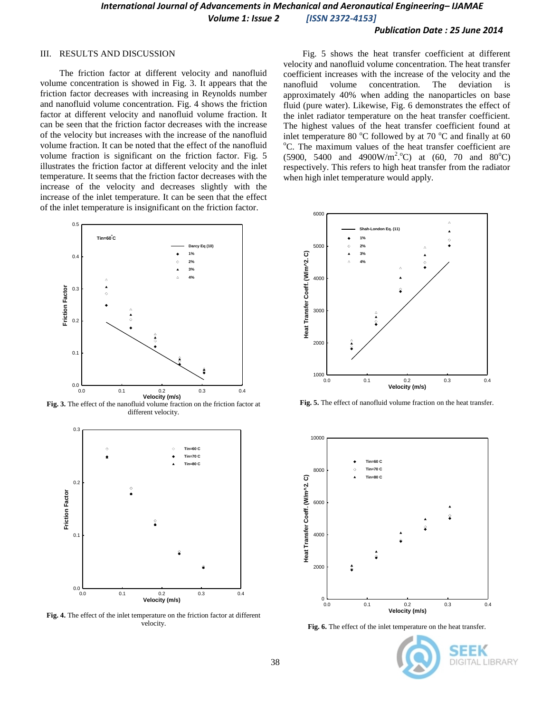## *Publication Date : 25 June 2014*

## III. RESULTS AND DISCUSSION

The friction factor at different velocity and nanofluid volume concentration is showed in Fig. 3. It appears that the friction factor decreases with increasing in Reynolds number and nanofluid volume concentration. Fig. 4 shows the friction factor at different velocity and nanofluid volume fraction. It can be seen that the friction factor decreases with the increase of the velocity but increases with the increase of the nanofluid volume fraction. It can be noted that the effect of the nanofluid volume fraction is significant on the friction factor. Fig. 5 illustrates the friction factor at different velocity and the inlet temperature. It seems that the friction factor decreases with the increase of the velocity and decreases slightly with the increase of the inlet temperature. It can be seen that the effect of the inlet temperature is insignificant on the friction factor.



**Fig. 3.** The effect of the nanofluid volume fraction on the friction factor at different velocity.



**Fig. 4.** The effect of the inlet temperature on the friction factor at different velocity.

Fig. 5 shows the heat transfer coefficient at different velocity and nanofluid volume concentration. The heat transfer coefficient increases with the increase of the velocity and the nanofluid volume concentration. The deviation is approximately 40% when adding the nanoparticles on base fluid (pure water). Likewise, Fig. 6 demonstrates the effect of the inlet radiator temperature on the heat transfer coefficient. The highest values of the heat transfer coefficient found at inlet temperature 80  $^{\circ}$ C followed by at 70  $^{\circ}$ C and finally at 60 <sup>o</sup>C. The maximum values of the heat transfer coefficient are  $(5900, 5400 \text{ and } 4900 \text{W/m}^2 \cdot ^{\circ}\text{C})$  at  $(60, 70 \text{ and } 80^{\circ}\text{C})$ respectively. This refers to high heat transfer from the radiator when high inlet temperature would apply.



**Fig. 5.** The effect of nanofluid volume fraction on the heat transfer.



**Fig. 6.** The effect of the inlet temperature on the heat transfer.

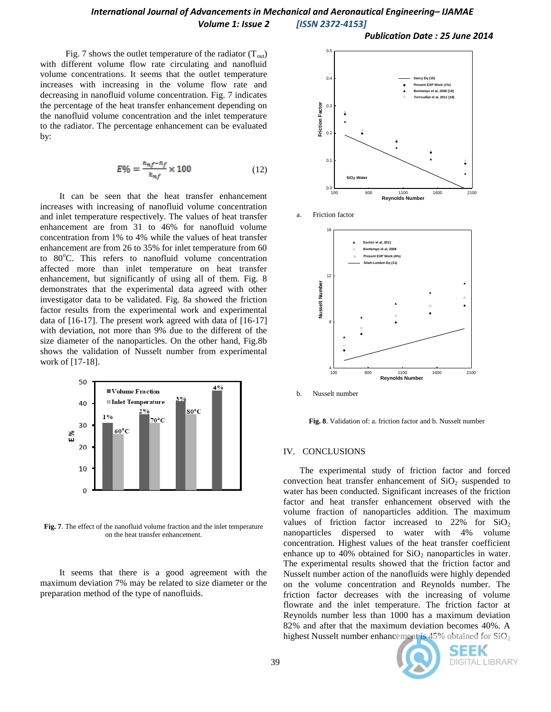Fig. 7 shows the outlet temperature of the radiator  $(T<sub>out</sub>)$ with different volume flow rate circulating and nanofluid volume concentrations. It seems that the outlet temperature increases with increasing in the volume flow rate and decreasing in nanofluid volume concentration. Fig. 7 indicates the percentage of the heat transfer enhancement depending on the nanofluid volume concentration and the inlet temperature to the radiator. The percentage enhancement can be evaluated by:

$$
E\% = \frac{h_{nf} - h_f}{h_{nf}} \times 100\tag{12}
$$

It can be seen that the heat transfer enhancement increases with increasing of nanofluid volume concentration and inlet temperature respectively. The values of heat transfer enhancement are from 31 to 46% for nanofluid volume concentration from 1% to 4% while the values of heat transfer enhancement are from 26 to 35% for inlet temperature from 60 to  $80^{\circ}$ C. This refers to nanofluid volume concentration affected more than inlet temperature on heat transfer enhancement, but significantly of using all of them. Fig. 8 demonstrates that the experimental data agreed with other investigator data to be validated. Fig. 8a showed the friction factor results from the experimental work and experimental data of [16-17]. The present work agreed with data of [16-17] with deviation, not more than 9% due to the different of the size diameter of the nanoparticles. On the other hand, Fig.8b shows the validation of Nusselt number from experimental work of [17-18].



**Fig. 7**. The effect of the nanofluid volume fraction and the inlet temperature on the heat transfer enhancement.

It seems that there is a good agreement with the maximum deviation 7% may be related to size diameter or the preparation method of the type of nanofluids.







b. Nusselt number

**Fig. 8**. Validation of: a. friction factor and b. Nusselt number

## IV. CONCLUSIONS

The experimental study of friction factor and forced convection heat transfer enhancement of  $SiO<sub>2</sub>$  suspended to water has been conducted. Significant increases of the friction factor and heat transfer enhancement observed with the volume fraction of nanoparticles addition. The maximum values of friction factor increased to  $22\%$  for  $SiO<sub>2</sub>$ nanoparticles dispersed to water with 4% volume concentration. Highest values of the heat transfer coefficient enhance up to 40% obtained for  $SiO<sub>2</sub>$  nanoparticles in water. The experimental results showed that the friction factor and Nusselt number action of the nanofluids were highly depended on the volume concentration and Reynolds number. The friction factor decreases with the increasing of volume flowrate and the inlet temperature. The friction factor at Reynolds number less than 1000 has a maximum deviation 82% and after that the maximum deviation becomes 40%. A highest Nusselt number enhancement is 45% obtained for  $SiO<sub>2</sub>$ 

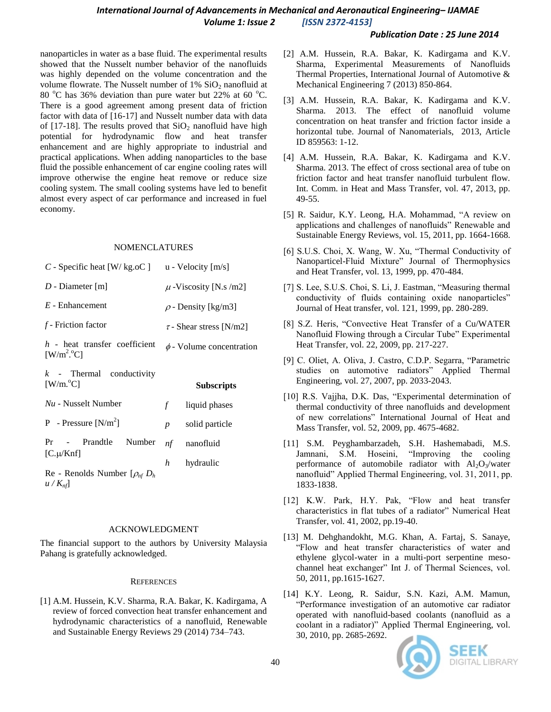# *Publication Date : 25 June 2014*

nanoparticles in water as a base fluid. The experimental results showed that the Nusselt number behavior of the nanofluids was highly depended on the volume concentration and the volume flowrate. The Nusselt number of  $1\%$  SiO<sub>2</sub> nanofluid at 80  $^{\circ}$ C has 36% deviation than pure water but 22% at 60  $^{\circ}$ C. There is a good agreement among present data of friction factor with data of [16-17] and Nusselt number data with data of [17-18]. The results proved that  $SiO<sub>2</sub>$  nanofluid have high potential for hydrodynamic flow and heat transfer enhancement and are highly appropriate to industrial and practical applications. When adding nanoparticles to the base fluid the possible enhancement of car engine cooling rates will improve otherwise the engine heat remove or reduce size cooling system. The small cooling systems have led to benefit almost every aspect of car performance and increased in fuel economy.

## NOMENCLATURES

| $C$ - Specific heat [W/ kg.oC ] $u$ - Velocity [m/s] |                                    |  |
|------------------------------------------------------|------------------------------------|--|
| $D$ - Diameter [m]                                   | $\mu$ -Viscosity [N.s/m2]          |  |
| $E$ - Enhancement                                    | $\rho$ - Density [kg/m3]           |  |
| $f$ - Friction factor                                | $\tau$ - Shear stress [N/m2]       |  |
| $h$ - heat transfer coefficient<br>$[W/m2.°C]$       | $\phi$ - Volume concentration      |  |
| $k$ - Thermal conductivity<br>[W/m. <sup>o</sup> C]  |                                    |  |
|                                                      | <b>Subscripts</b>                  |  |
| $Nu$ - Nusselt Number                                | liquid phases<br>$f_{\parallel}$   |  |
| P - Pressure $[N/m^2]$                               | solid particle<br>$\boldsymbol{p}$ |  |
| Pr - Prandtle Number<br>$[C.\mu/Kn\]$                | nf<br>nanofluid                    |  |

## ACKNOWLEDGMENT

The financial support to the authors by University Malaysia Pahang is gratefully acknowledged.

## **REFERENCES**

[1] A.M. Hussein, K.V. Sharma, R.A. Bakar, K. Kadirgama, A review of forced convection heat transfer enhancement and hydrodynamic characteristics of a nanofluid, Renewable and Sustainable Energy Reviews 29 (2014) 734–743.

- [2] A.M. Hussein, R.A. Bakar, K. Kadirgama and K.V. Sharma, Experimental Measurements of Nanofluids Thermal Properties, International Journal of Automotive & Mechanical Engineering 7 (2013) 850-864.
- [3] A.M. Hussein, R.A. Bakar, K. Kadirgama and K.V. Sharma. 2013. The effect of nanofluid volume concentration on heat transfer and friction factor inside a horizontal tube. Journal of Nanomaterials, 2013, Article ID 859563: 1-12.
- [4] A.M. Hussein, R.A. Bakar, K. Kadirgama and K.V. Sharma. 2013. The effect of cross sectional area of tube on friction factor and heat transfer nanofluid turbulent flow. Int. Comm. in Heat and Mass Transfer, vol. 47, 2013, pp. 49-55.
- [5] R. Saidur, K.Y. Leong, H.A. Mohammad, "A review on applications and challenges of nanofluids" Renewable and Sustainable Energy Reviews, vol. 15, 2011, pp. 1664-1668.
- [6] S.U.S. Choi, X. Wang, W. Xu, "Thermal Conductivity of Nanoparticel-Fluid Mixture" Journal of Thermophysics and Heat Transfer, vol. 13, 1999, pp. 470-484.
- [7] S. Lee, S.U.S. Choi, S. Li, J. Eastman, "Measuring thermal conductivity of fluids containing oxide nanoparticles Journal of Heat transfer, vol. 121, 1999, pp. 280-289.
- [8] S.Z. Heris, "Convective Heat Transfer of a Cu/WATER Nanofluid Flowing through a Circular Tube" Experimental Heat Transfer, vol. 22, 2009, pp. 217-227.
- [9] C. Oliet, A. Oliva, J. Castro, C.D.P. Segarra, "Parametric studies on automotive radiators" Applied Thermal Engineering, vol. 27, 2007, pp. 2033-2043.
- [10] R.S. Vajjha, D.K. Das, "Experimental determination of thermal conductivity of three nanofluids and development of new correlations" International Journal of Heat and Mass Transfer, vol. 52, 2009, pp. 4675-4682.
- [11] S.M. Peyghambarzadeh, S.H. Hashemabadi, M.S. Jamnani, S.M. Hoseini, "Improving the cooling performance of automobile radiator with  $Al_2O_3/water$ nanofluid" Applied Thermal Engineering, vol. 31, 2011, pp. 1833-1838.
- [12] K.W. Park, H.Y. Pak, "Flow and heat transfer characteristics in flat tubes of a radiator" Numerical Heat Transfer, vol. 41, 2002, pp.19-40.
- [13] M. Dehghandokht, M.G. Khan, A. Fartaj, S. Sanaye, ―Flow and heat transfer characteristics of water and ethylene glycol-water in a multi-port serpentine mesochannel heat exchanger" Int J. of Thermal Sciences, vol. 50, 2011, pp.1615-1627.
- [14] K.Y. Leong, R. Saidur, S.N. Kazi, A.M. Mamun, ―Performance investigation of an automotive car radiator operated with nanofluid-based coolants (nanofluid as a coolant in a radiator)" Applied Thermal Engineering, vol. 30, 2010, pp. 2685-2692.